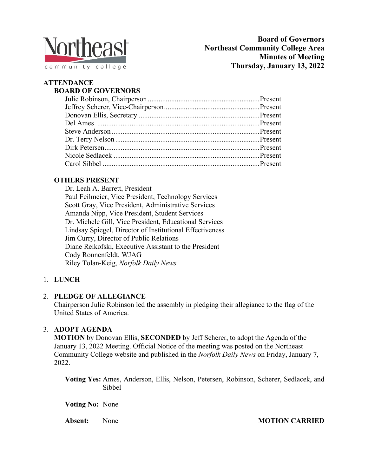

# **ATTENDANCE**

## **BOARD OF GOVERNORS**

### **OTHERS PRESENT**

Dr. Leah A. Barrett, President Paul Feilmeier, Vice President, Technology Services Scott Gray, Vice President, Administrative Services Amanda Nipp, Vice President, Student Services Dr. Michele Gill, Vice President, Educational Services Lindsay Spiegel, Director of Institutional Effectiveness Jim Curry, Director of Public Relations Diane Reikofski, Executive Assistant to the President Cody Ronnenfeldt, WJAG Riley Tolan-Keig, *Norfolk Daily News*

### 1. **LUNCH**

#### 2. **PLEDGE OF ALLEGIANCE**

Chairperson Julie Robinson led the assembly in pledging their allegiance to the flag of the United States of America.

#### 3. **ADOPT AGENDA**

**MOTION** by Donovan Ellis, **SECONDED** by Jeff Scherer, to adopt the Agenda of the January 13, 2022 Meeting. Official Notice of the meeting was posted on the Northeast Community College website and published in the *Norfolk Daily News* on Friday, January 7, 2022.

**Voting Yes:** Ames, Anderson, Ellis, Nelson, Petersen, Robinson, Scherer, Sedlacek, and Sibbel

**Voting No:** None

**Absent:** None **MOTION CARRIED**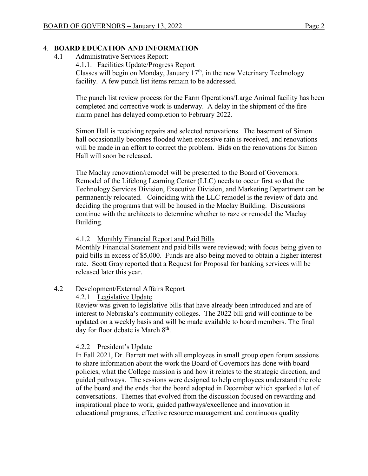#### 4. **BOARD EDUCATION AND INFORMATION**

4.1 Administrative Services Report:

4.1.1. Facilities Update/Progress Report

Classes will begin on Monday, January  $17<sup>th</sup>$ , in the new Veterinary Technology facility. A few punch list items remain to be addressed.

The punch list review process for the Farm Operations/Large Animal facility has been completed and corrective work is underway. A delay in the shipment of the fire alarm panel has delayed completion to February 2022.

Simon Hall is receiving repairs and selected renovations. The basement of Simon hall occasionally becomes flooded when excessive rain is received, and renovations will be made in an effort to correct the problem. Bids on the renovations for Simon Hall will soon be released.

The Maclay renovation/remodel will be presented to the Board of Governors. Remodel of the Lifelong Learning Center (LLC) needs to occur first so that the Technology Services Division, Executive Division, and Marketing Department can be permanently relocated. Coinciding with the LLC remodel is the review of data and deciding the programs that will be housed in the Maclay Building. Discussions continue with the architects to determine whether to raze or remodel the Maclay Building.

#### 4.1.2 Monthly Financial Report and Paid Bills

Monthly Financial Statement and paid bills were reviewed; with focus being given to paid bills in excess of \$5,000. Funds are also being moved to obtain a higher interest rate. Scott Gray reported that a Request for Proposal for banking services will be released later this year.

#### 4.2 Development/External Affairs Report

#### 4.2.1 Legislative Update

Review was given to legislative bills that have already been introduced and are of interest to Nebraska's community colleges. The 2022 bill grid will continue to be updated on a weekly basis and will be made available to board members. The final day for floor debate is March  $8<sup>th</sup>$ .

#### 4.2.2 President's Update

In Fall 2021, Dr. Barrett met with all employees in small group open forum sessions to share information about the work the Board of Governors has done with board policies, what the College mission is and how it relates to the strategic direction, and guided pathways. The sessions were designed to help employees understand the role of the board and the ends that the board adopted in December which sparked a lot of conversations. Themes that evolved from the discussion focused on rewarding and inspirational place to work, guided pathways/excellence and innovation in educational programs, effective resource management and continuous quality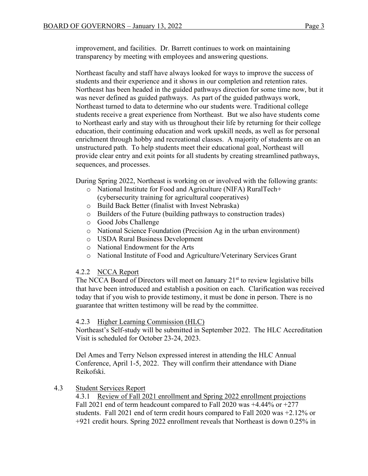improvement, and facilities. Dr. Barrett continues to work on maintaining transparency by meeting with employees and answering questions.

Northeast faculty and staff have always looked for ways to improve the success of students and their experience and it shows in our completion and retention rates. Northeast has been headed in the guided pathways direction for some time now, but it was never defined as guided pathways. As part of the guided pathways work, Northeast turned to data to determine who our students were. Traditional college students receive a great experience from Northeast. But we also have students come to Northeast early and stay with us throughout their life by returning for their college education, their continuing education and work upskill needs, as well as for personal enrichment through hobby and recreational classes. A majority of students are on an unstructured path. To help students meet their educational goal, Northeast will provide clear entry and exit points for all students by creating streamlined pathways, sequences, and processes.

During Spring 2022, Northeast is working on or involved with the following grants:

- o National Institute for Food and Agriculture (NIFA) RuralTech+ (cybersecurity training for agricultural cooperatives)
- o Build Back Better (finalist with Invest Nebraska)
- o Builders of the Future (building pathways to construction trades)
- o Good Jobs Challenge
- o National Science Foundation (Precision Ag in the urban environment)
- o USDA Rural Business Development
- o National Endowment for the Arts
- o National Institute of Food and Agriculture/Veterinary Services Grant

#### 4.2.2 NCCA Report

The NCCA Board of Directors will meet on January  $21<sup>st</sup>$  to review legislative bills that have been introduced and establish a position on each. Clarification was received today that if you wish to provide testimony, it must be done in person. There is no guarantee that written testimony will be read by the committee.

#### 4.2.3 Higher Learning Commission (HLC)

Northeast's Self-study will be submitted in September 2022. The HLC Accreditation Visit is scheduled for October 23-24, 2023.

Del Ames and Terry Nelson expressed interest in attending the HLC Annual Conference, April 1-5, 2022. They will confirm their attendance with Diane Reikofski.

#### 4.3 Student Services Report

4.3.1 Review of Fall 2021 enrollment and Spring 2022 enrollment projections Fall 2021 end of term headcount compared to Fall 2020 was +4.44% or +277 students. Fall 2021 end of term credit hours compared to Fall 2020 was +2.12% or +921 credit hours. Spring 2022 enrollment reveals that Northeast is down 0.25% in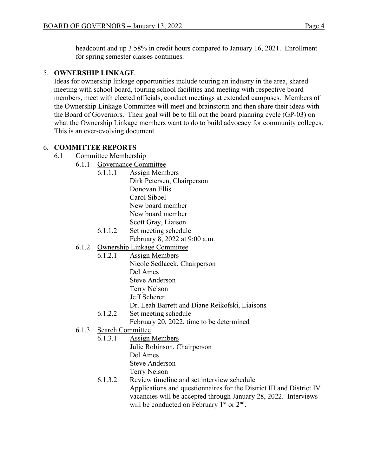headcount and up 3.58% in credit hours compared to January 16, 2021. Enrollment for spring semester classes continues.

#### 5. **OWNERSHIP LINKAGE**

Ideas for ownership linkage opportunities include touring an industry in the area, shared meeting with school board, touring school facilities and meeting with respective board members, meet with elected officials, conduct meetings at extended campuses. Members of the Ownership Linkage Committee will meet and brainstorm and then share their ideas with the Board of Governors. Their goal will be to fill out the board planning cycle (GP-03) on what the Ownership Linkage members want to do to build advocacy for community colleges. This is an ever-evolving document.

#### 6. **COMMITTEE REPORTS**

- 6.1 Committee Membership
	- 6.1.1 Governance Committee
		- 6.1.1.1 Assign Members Dirk Petersen, Chairperson Donovan Ellis Carol Sibbel New board member New board member Scott Gray, Liaison
		- 6.1.1.2 Set meeting schedule February 8, 2022 at 9:00 a.m.
	- 6.1.2 Ownership Linkage Committee
		- 6.1.2.1 Assign Members
			- Nicole Sedlacek, Chairperson
				- Del Ames
			- Steve Anderson
			- Terry Nelson
			- Jeff Scherer
			- Dr. Leah Barrett and Diane Reikofski, Liaisons
			- 6.1.2.2 Set meeting schedule February 20, 2022, time to be determined
	- 6.1.3 Search Committee
		- 6.1.3.1 Assign Members
			- Julie Robinson, Chairperson
				- Del Ames
				- Steve Anderson
				- Terry Nelson
		- 6.1.3.2 Review timeline and set interview schedule Applications and questionnaires for the District III and District IV

vacancies will be accepted through January 28, 2022. Interviews will be conducted on February  $1<sup>st</sup>$  or  $2<sup>nd</sup>$ .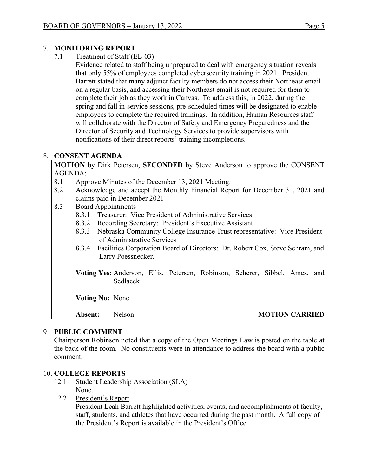#### 7. **MONITORING REPORT**

7.1 Treatment of Staff (EL-03)

Evidence related to staff being unprepared to deal with emergency situation reveals that only 55% of employees completed cybersecurity training in 2021. President Barrett stated that many adjunct faculty members do not access their Northeast email on a regular basis, and accessing their Northeast email is not required for them to complete their job as they work in Canvas. To address this, in 2022, during the spring and fall in-service sessions, pre-scheduled times will be designated to enable employees to complete the required trainings. In addition, Human Resources staff will collaborate with the Director of Safety and Emergency Preparedness and the Director of Security and Technology Services to provide supervisors with notifications of their direct reports' training incompletions.

### 8. **CONSENT AGENDA**

**MOTION** by Dirk Petersen, **SECONDED** by Steve Anderson to approve the CONSENT AGENDA:

- 8.1 Approve Minutes of the December 13, 2021 Meeting.
- 8.2 Acknowledge and accept the Monthly Financial Report for December 31, 2021 and claims paid in December 2021
- 8.3 Board Appointments
	- 8.3.1 Treasurer: Vice President of Administrative Services
	- 8.3.2 Recording Secretary: President's Executive Assistant
	- 8.3.3 Nebraska Community College Insurance Trust representative: Vice President of Administrative Services
	- 8.3.4 Facilities Corporation Board of Directors: Dr. Robert Cox, Steve Schram, and Larry Poessnecker.
	- **Voting Yes:** Anderson, Ellis, Petersen, Robinson, Scherer, Sibbel, Ames, and Sedlacek

**Voting No:** None

**Absent:** Nelson **MOTION CARRIED**

### 9. **PUBLIC COMMENT**

Chairperson Robinson noted that a copy of the Open Meetings Law is posted on the table at the back of the room. No constituents were in attendance to address the board with a public comment.

### 10. **COLLEGE REPORTS**

- 12.1 Student Leadership Association (SLA) None.
- 12.2 President's Report

President Leah Barrett highlighted activities, events, and accomplishments of faculty, staff, students, and athletes that have occurred during the past month. A full copy of the President's Report is available in the President's Office.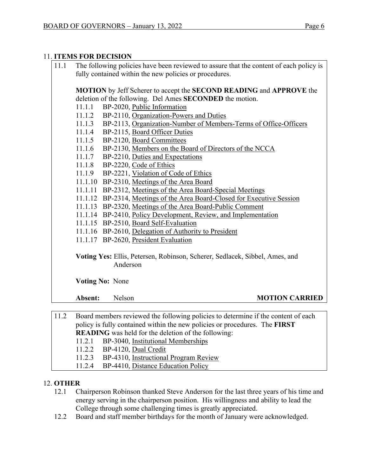#### 11. **ITEMS FOR DECISION**

| 11.1 |         | The following policies have been reviewed to assure that the content of each policy is<br>fully contained within the new policies or procedures.                |
|------|---------|-----------------------------------------------------------------------------------------------------------------------------------------------------------------|
|      |         | MOTION by Jeff Scherer to accept the SECOND READING and APPROVE the                                                                                             |
|      |         | deletion of the following. Del Ames SECONDED the motion.                                                                                                        |
|      | 11.1.1  | BP-2020, Public Information                                                                                                                                     |
|      | 11.1.2  | BP-2110, Organization-Powers and Duties                                                                                                                         |
|      | 11.1.3  | BP-2113, Organization-Number of Members-Terms of Office-Officers                                                                                                |
|      | 11.1.4  | BP-2115, Board Officer Duties                                                                                                                                   |
|      | 11.1.5  | BP-2120, Board Committees                                                                                                                                       |
|      | 11.1.6  | BP-2130, Members on the Board of Directors of the NCCA                                                                                                          |
|      | 11.1.7  | BP-2210, Duties and Expectations                                                                                                                                |
|      | 11.1.8  | BP-2220, Code of Ethics                                                                                                                                         |
|      | 11.1.9  | BP-2221, Violation of Code of Ethics                                                                                                                            |
|      | 11.1.10 | BP-2310, Meetings of the Area Board                                                                                                                             |
|      |         | 11.1.11 BP-2312, Meetings of the Area Board-Special Meetings                                                                                                    |
|      |         | 11.1.12 BP-2314, Meetings of the Area Board-Closed for Executive Session                                                                                        |
|      |         | 11.1.13 BP-2320, Meetings of the Area Board-Public Comment                                                                                                      |
|      |         | 11.1.14 BP-2410, Policy Development, Review, and Implementation                                                                                                 |
|      |         | 11.1.15 BP-2510, Board Self-Evaluation                                                                                                                          |
|      |         | 11.1.16 BP-2610, Delegation of Authority to President                                                                                                           |
|      |         | 11.1.17 BP-2620, President Evaluation                                                                                                                           |
|      |         | Voting Yes: Ellis, Petersen, Robinson, Scherer, Sedlacek, Sibbel, Ames, and                                                                                     |
|      |         | Anderson                                                                                                                                                        |
|      |         | <b>Voting No: None</b>                                                                                                                                          |
|      | Absent: | Nelson<br><b>MOTION CARRIED</b>                                                                                                                                 |
| 11.2 |         | Board members reviewed the following policies to determine if the content of each                                                                               |
|      |         | $\mathcal{L}$ . $\mathcal{L}$ and $\mathcal{L}$ and $\mathcal{L}$ and $\mathcal{L}$ are constant in the contract of $\mathcal{L}$ . In the set of $\mathcal{L}$ |

policy is fully contained within the new policies or procedures. The **FIRST READING** was held for the deletion of the following: 11.2.1 BP-3040, Institutional Memberships

- 11.2.2 BP-4120, Dual Credit
- 11.2.3 BP-4310, Instructional Program Review
- 11.2.4 BP-4410, Distance Education Policy

#### 12. **OTHER**

- 12.1 Chairperson Robinson thanked Steve Anderson for the last three years of his time and energy serving in the chairperson position. His willingness and ability to lead the College through some challenging times is greatly appreciated.
- 12.2 Board and staff member birthdays for the month of January were acknowledged.